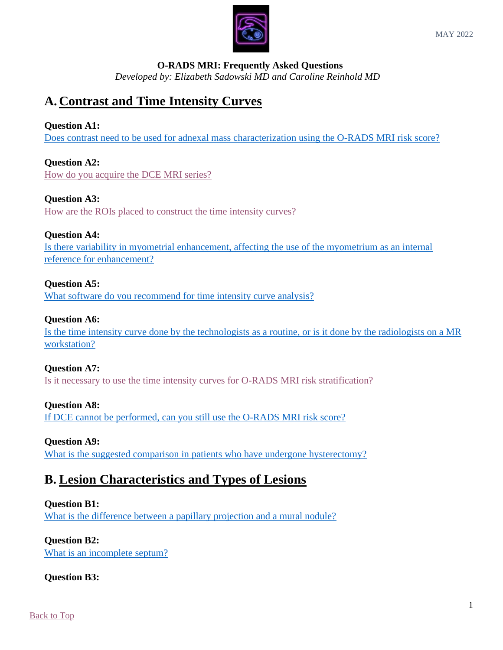

## **O-RADS MRI: Frequently Asked Questions**

*Developed by: Elizabeth Sadowski MD and Caroline Reinhold MD*

# <span id="page-0-0"></span>**A. Contrast and Time Intensity Curves**

## **Question A1:**

Does contrast need to be used [for adnexal mass characterization using the O-RADS MRI risk score?](#page-1-0)

## **Question A2:**

[How do you acquire the DCE MRI series?](#page-2-0)

## **Question A3:**

[How are the ROIs placed to construct the time intensity curves?](#page-2-1)

## **Question A4:**

Is [there variability in myometrial enhancement, affecting](#page-2-2) the use of the myometrium as an internal [reference for enhancement?](#page-2-2)

## **Question A5:**

[What software do you recommend for time intensity curve analysis?](#page-2-3)

## **Question A6:**

Is the time intensity curve done by the technologists [as a routine, or is it done by the radiologists on a MR](#page-2-4)  [workstation?](#page-2-4)

## **Question A7:**

[Is it necessary to use the time intensity curves for O-RADS MRI risk stratification?](#page-3-0)

## **Question A8:**

[If DCE cannot be performed, can you still use the O-RADS MRI risk score?](#page-3-1)

## **Question A9:**

[What is the suggested comparison in patients who have undergone hysterectomy?](#page-3-2)

## **B. Lesion Characteristics and Types of Lesions**

## **Question B1:**

[What is the difference between a papillary projection and a mural nodule?](#page-3-3)

## **Question B2:**

[What is an incomplete septum?](#page-3-4)

## **Question B3:**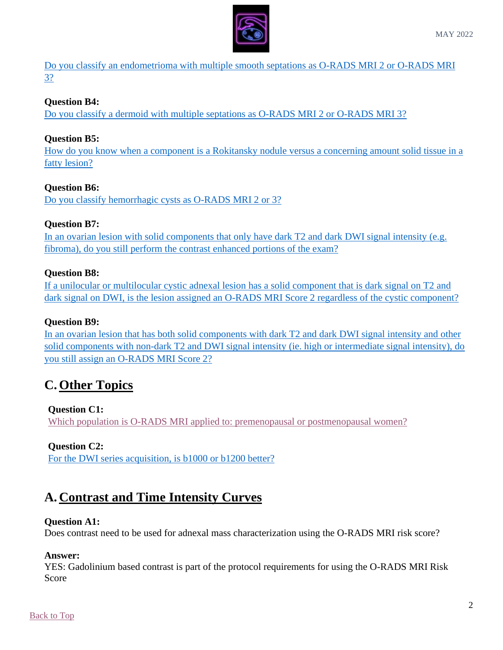

[Do you classify an endometrioma with multiple smooth septations as O-RADS MRI 2 or O-RADS MRI](#page-4-0)  [3?](#page-4-0)

## **Question B4:**

Do you classify a [dermoid with multiple septations as O-RADS MRI 2 or O-RADS MRI 3?](#page-4-1)

## **Question B5:**

[How do you know when a component is a Rokitansky nodule versus a concerning amount solid tissue in a](#page-4-2)  [fatty lesion?](#page-4-2)

## **Question B6:**

[Do you classify hemorrhagic cysts as O-RADS MRI 2 or 3?](#page-4-3)

## **Question B7:**

In an ovarian lesion with solid components that only have dark T2 and dark DWI signal intensity (e.g. [fibroma\), do you still perform the contrast enhanced portions of the exam?](#page-5-0)

## **Question B8:**

[If a unilocular or multilocular cystic adnexal lesion has a solid component that is dark signal on T2 and](#page-5-1)  dark signal on DWI, is the [lesion assigned an O-RADS MRI Score 2 regardless of the cystic component?](#page-5-1)

## **Question B9:**

[In an ovarian lesion that has both solid components with dark T2 and dark DWI signal intensity and other](#page-5-2)  [solid components with non-dark T2 and DWI signal intensity](#page-5-2) (ie. high or intermediate signal intensity), do [you still assign an O-RADS MRI Score 2?](#page-5-2)

## **C. Other Topics**

#### **Question C1:**

Which population is O-RADS MRI [applied to: premenopausal or postmenopausal women?](#page-6-0)

## **Question C2:**

[For the DWI series acquisition, is b1000 or b1200 better?](#page-6-1)

## **A. Contrast and Time Intensity Curves**

#### **Question A1:**

Does contrast need to be used for adnexal mass characterization using the O-RADS MRI risk score?

#### <span id="page-1-0"></span>**Answer:**

YES: Gadolinium based contrast is part of the protocol requirements for using the O-RADS MRI Risk Score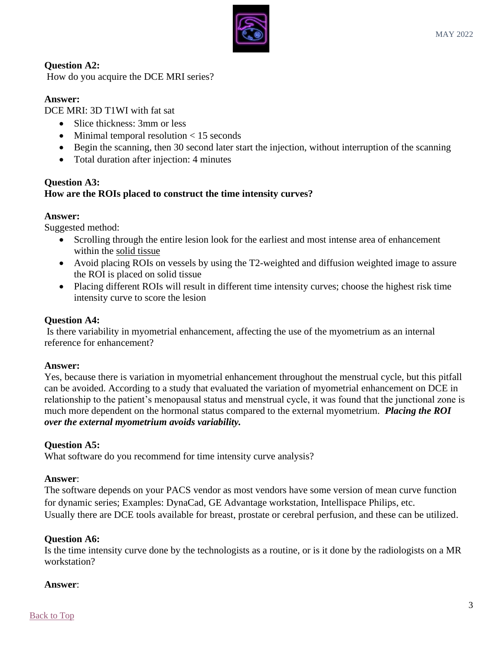

## **Question A2:**

How do you acquire the DCE MRI series?

## <span id="page-2-0"></span>**Answer:**

DCE MRI: 3D T1WI with fat sat

- Slice thickness: 3mm or less
- Minimal temporal resolution < 15 seconds
- Begin the scanning, then 30 second later start the injection, without interruption of the scanning
- Total duration after injection: 4 minutes

#### **Question A3: How are the ROIs placed to construct the time intensity curves?**

#### <span id="page-2-1"></span>**Answer:**

Suggested method:

- Scrolling through the entire lesion look for the earliest and most intense area of enhancement within the solid tissue
- Avoid placing ROIs on vessels by using the T2-weighted and diffusion weighted image to assure the ROI is placed on solid tissue
- Placing different ROIs will result in different time intensity curves; choose the highest risk time intensity curve to score the lesion

## **Question A4:**

Is there variability in myometrial enhancement, affecting the use of the myometrium as an internal reference for enhancement?

#### <span id="page-2-2"></span>**Answer:**

Yes, because there is variation in myometrial enhancement throughout the menstrual cycle, but this pitfall can be avoided. According to a study that evaluated the variation of myometrial enhancement on DCE in relationship to the patient's menopausal status and menstrual cycle, it was found that the junctional zone is much more dependent on the hormonal status compared to the external myometrium. *Placing the ROI over the external myometrium avoids variability.*

#### **Question A5:**

What software do you recommend for time intensity curve analysis?

#### <span id="page-2-3"></span>**Answer**:

The software depends on your PACS vendor as most vendors have some version of mean curve function for dynamic series; Examples: DynaCad, GE Advantage workstation, Intellispace Philips, etc. Usually there are DCE tools available for breast, prostate or cerebral perfusion, and these can be utilized.

#### **Question A6:**

Is the time intensity curve done by the technologists as a routine, or is it done by the radiologists on a MR workstation?

#### <span id="page-2-4"></span>**Answer**: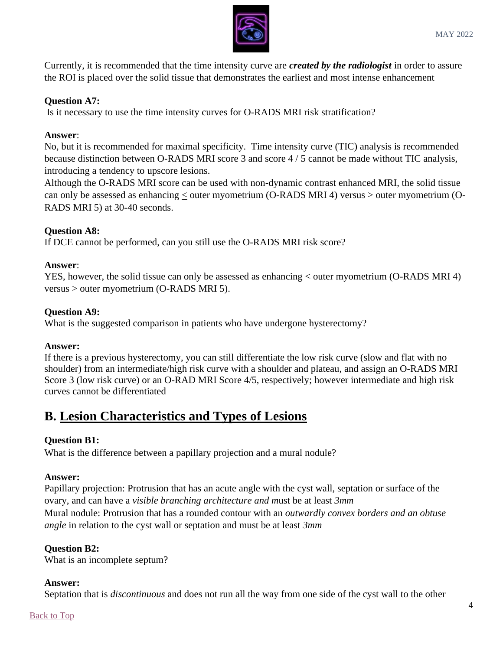

Currently, it is recommended that the time intensity curve are *created by the radiologist* in order to assure the ROI is placed over the solid tissue that demonstrates the earliest and most intense enhancement

## **Question A7:**

Is it necessary to use the time intensity curves for O-RADS MRI risk stratification?

#### <span id="page-3-0"></span>**Answer**:

No, but it is recommended for maximal specificity. Time intensity curve (TIC) analysis is recommended because distinction between O-RADS MRI score 3 and score 4 / 5 cannot be made without TIC analysis, introducing a tendency to upscore lesions.

Although the O-RADS MRI score can be used with non-dynamic contrast enhanced MRI, the solid tissue can only be assessed as enhancing < outer myometrium (O-RADS MRI 4) versus > outer myometrium (O-RADS MRI 5) at 30-40 seconds.

## **Question A8:**

If DCE cannot be performed, can you still use the O-RADS MRI risk score?

#### <span id="page-3-1"></span>**Answer**:

YES, however, the solid tissue can only be assessed as enhancing < outer myometrium (O-RADS MRI 4) versus > outer myometrium (O-RADS MRI 5).

#### **Question A9:**

What is the suggested comparison in patients who have undergone hysterectomy?

#### <span id="page-3-2"></span>**Answer:**

If there is a previous hysterectomy, you can still differentiate the low risk curve (slow and flat with no shoulder) from an intermediate/high risk curve with a shoulder and plateau, and assign an O-RADS MRI Score 3 (low risk curve) or an O-RAD MRI Score 4/5, respectively; however intermediate and high risk curves cannot be differentiated

## **B. Lesion Characteristics and Types of Lesions**

## **Question B1:**

What is the difference between a papillary projection and a mural nodule?

#### <span id="page-3-3"></span>**Answer:**

Papillary projection: Protrusion that has an acute angle with the cyst wall, septation or surface of the ovary, and can have a *visible branching architecture and m*ust be at least *3mm* Mural nodule: Protrusion that has a rounded contour with an *outwardly convex borders and an obtuse angle* in relation to the cyst wall or septation and must be at least *3mm*

## **Question B2:**

What is an incomplete septum?

#### <span id="page-3-4"></span>**Answer:**

Septation that is *discontinuous* and does not run all the way from one side of the cyst wall to the other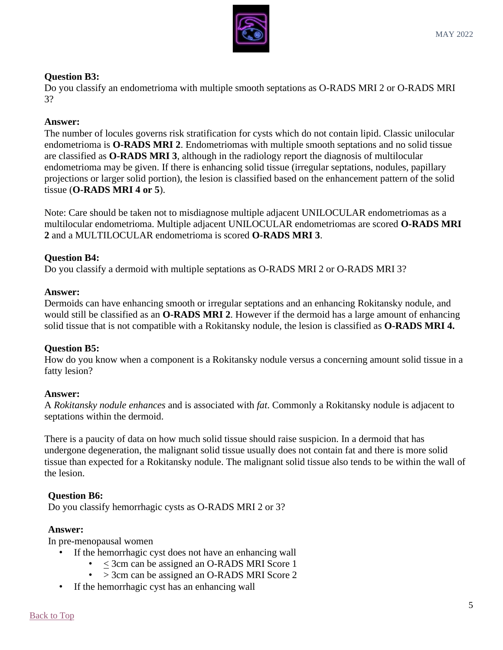

## **Question B3:**

Do you classify an endometrioma with multiple smooth septations as O-RADS MRI 2 or O-RADS MRI 3?

## <span id="page-4-0"></span>**Answer:**

The number of locules governs risk stratification for cysts which do not contain lipid. Classic unilocular endometrioma is **O-RADS MRI 2**. Endometriomas with multiple smooth septations and no solid tissue are classified as **O-RADS MRI 3**, although in the radiology report the diagnosis of multilocular endometrioma may be given. If there is enhancing solid tissue (irregular septations, nodules, papillary projections or larger solid portion), the lesion is classified based on the enhancement pattern of the solid tissue (**O-RADS MRI 4 or 5**).

Note: Care should be taken not to misdiagnose multiple adjacent UNILOCULAR endometriomas as a multilocular endometrioma. Multiple adjacent UNILOCULAR endometriomas are scored **O-RADS MRI 2** and a MULTILOCULAR endometrioma is scored **O-RADS MRI 3**.

## **Question B4:**

Do you classify a dermoid with multiple septations as O-RADS MRI 2 or O-RADS MRI 3?

#### <span id="page-4-1"></span>**Answer:**

Dermoids can have enhancing smooth or irregular septations and an enhancing Rokitansky nodule, and would still be classified as an **O-RADS MRI 2**. However if the dermoid has a large amount of enhancing solid tissue that is not compatible with a Rokitansky nodule, the lesion is classified as **O-RADS MRI 4.** 

## **Question B5:**

How do you know when a component is a Rokitansky nodule versus a concerning amount solid tissue in a fatty lesion?

#### <span id="page-4-2"></span>**Answer:**

A *Rokitansky nodule enhances* and is associated with *fat*. Commonly a Rokitansky nodule is adjacent to septations within the dermoid.

There is a paucity of data on how much solid tissue should raise suspicion. In a dermoid that has undergone degeneration, the malignant solid tissue usually does not contain fat and there is more solid tissue than expected for a Rokitansky nodule. The malignant solid tissue also tends to be within the wall of the lesion.

## **Question B6:**

Do you classify hemorrhagic cysts as O-RADS MRI 2 or 3?

#### <span id="page-4-3"></span>**Answer:**

In pre-menopausal women

- If the hemorrhagic cyst does not have an enhancing wall
	- < 3cm can be assigned an O-RADS MRI Score 1
		- > 3cm can be assigned an O-RADS MRI Score 2
- If the hemorrhagic cyst has an enhancing wall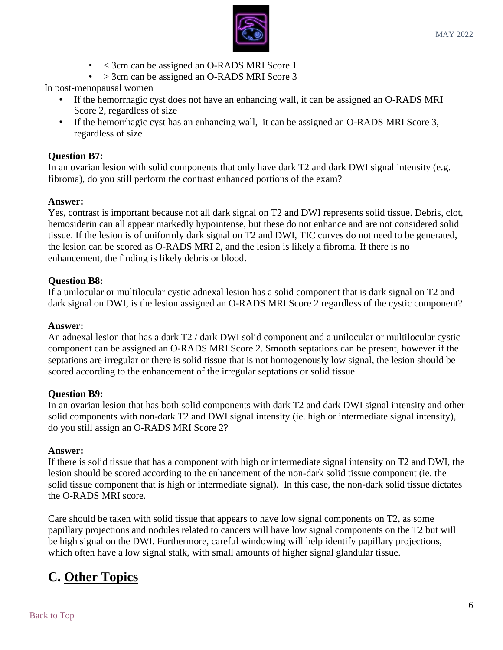

- < 3cm can be assigned an O-RADS MRI Score 1
- > 3cm can be assigned an O-RADS MRI Score 3

In post-menopausal women

- If the hemorrhagic cyst does not have an enhancing wall, it can be assigned an O-RADS MRI Score 2, regardless of size
- If the hemorrhagic cyst has an enhancing wall, it can be assigned an O-RADS MRI Score 3, regardless of size

## **Question B7:**

In an ovarian lesion with solid components that only have dark T2 and dark DWI signal intensity (e.g. fibroma), do you still perform the contrast enhanced portions of the exam?

#### <span id="page-5-0"></span>**Answer:**

Yes, contrast is important because not all dark signal on T2 and DWI represents solid tissue. Debris, clot, hemosiderin can all appear markedly hypointense, but these do not enhance and are not considered solid tissue. If the lesion is of uniformly dark signal on T2 and DWI, TIC curves do not need to be generated, the lesion can be scored as O-RADS MRI 2, and the lesion is likely a fibroma. If there is no enhancement, the finding is likely debris or blood.

## **Question B8:**

If a unilocular or multilocular cystic adnexal lesion has a solid component that is dark signal on T2 and dark signal on DWI, is the lesion assigned an O-RADS MRI Score 2 regardless of the cystic component?

#### <span id="page-5-1"></span>**Answer:**

An adnexal lesion that has a dark T2 / dark DWI solid component and a unilocular or multilocular cystic component can be assigned an O-RADS MRI Score 2. Smooth septations can be present, however if the septations are irregular or there is solid tissue that is not homogenously low signal, the lesion should be scored according to the enhancement of the irregular septations or solid tissue.

#### **Question B9:**

In an ovarian lesion that has both solid components with dark T2 and dark DWI signal intensity and other solid components with non-dark T2 and DWI signal intensity (ie. high or intermediate signal intensity), do you still assign an O-RADS MRI Score 2?

#### <span id="page-5-2"></span>**Answer:**

If there is solid tissue that has a component with high or intermediate signal intensity on T2 and DWI, the lesion should be scored according to the enhancement of the non-dark solid tissue component (ie. the solid tissue component that is high or intermediate signal). In this case, the non-dark solid tissue dictates the O-RADS MRI score.

Care should be taken with solid tissue that appears to have low signal components on T2, as some papillary projections and nodules related to cancers will have low signal components on the T2 but will be high signal on the DWI. Furthermore, careful windowing will help identify papillary projections, which often have a low signal stalk, with small amounts of higher signal glandular tissue.

# **C. Other Topics**